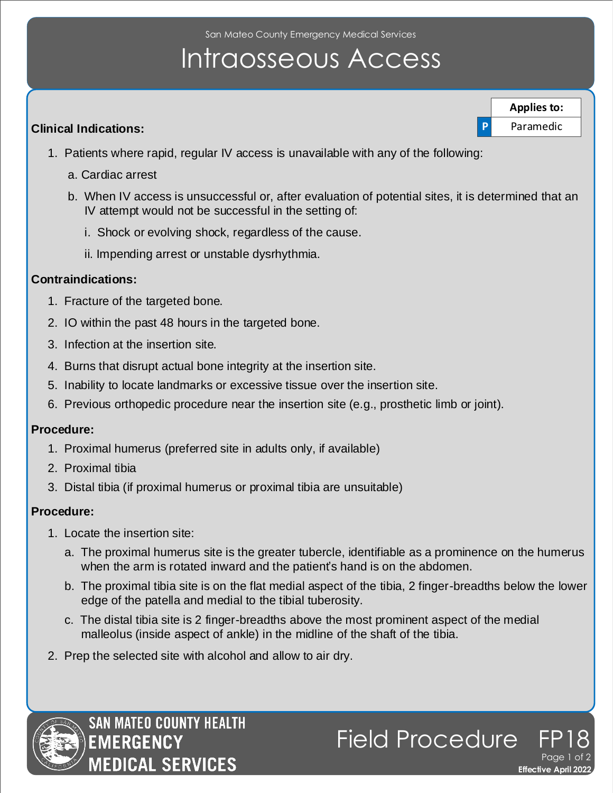San Mateo County Emergency Medical Services

# Intraosseous Access

#### **Clinical Indications:**

- 1. Patients where rapid, regular IV access is unavailable with any of the following:
	- a. Cardiac arrest
	- b. When IV access is unsuccessful or, after evaluation of potential sites, it is determined that an IV attempt would not be successful in the setting of:
		- i. Shock or evolving shock, regardless of the cause.
		- ii. Impending arrest or unstable dysrhythmia.

#### **Contraindications:**

- 1. Fracture of the targeted bone.
- 2. IO within the past 48 hours in the targeted bone.
- 3. Infection at the insertion site.
- 4. Burns that disrupt actual bone integrity at the insertion site.
- 5. Inability to locate landmarks or excessive tissue over the insertion site.
- 6. Previous orthopedic procedure near the insertion site (e.g., prosthetic limb or joint).

#### **Procedure:**

- 1. Proximal humerus (preferred site in adults only, if available)
- 2. Proximal tibia
- 3. Distal tibia (if proximal humerus or proximal tibia are unsuitable)

### **Procedure:**

- 1. Locate the insertion site:
	- a. The proximal humerus site is the greater tubercle, identifiable as a prominence on the humerus when the arm is rotated inward and the patient's hand is on the abdomen.
	- b. The proximal tibia site is on the flat medial aspect of the tibia, 2 finger-breadths below the lower edge of the patella and medial to the tibial tuberosity.

**Effective April 2022** 

**P** Paramedic **Applies to:**

Page 1 of 2

Field Procedure

- c. The distal tibia site is 2 finger-breadths above the most prominent aspect of the medial malleolus (inside aspect of ankle) in the midline of the shaft of the tibia.
- 2. Prep the selected site with alcohol and allow to air dry.



**SAN MATEO COUNTY HEALTH EMERGENCY EDICAL SERVICES**